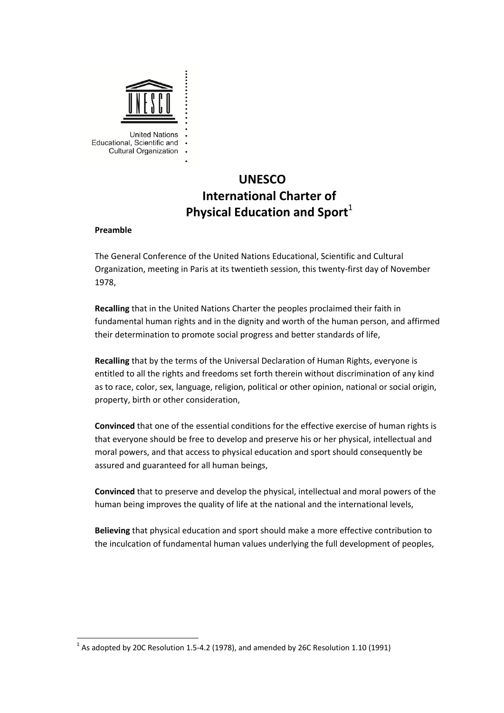

# **UNESCO International Charter of Physical Education and Sport**<sup>1</sup>

#### **Preamble**

The General Conference of the United Nations Educational, Scientific and Cultural Organization, meeting in Paris at its twentieth session, this twenty‐first day of November 1978,

**Recalling** that in the United Nations Charter the peoples proclaimed their faith in fundamental human rights and in the dignity and worth of the human person, and affirmed their determination to promote social progress and better standards of life,

**Recalling** that by the terms of the Universal Declaration of Human Rights, everyone is entitled to all the rights and freedoms set forth therein without discrimination of any kind as to race, color, sex, language, religion, political or other opinion, national or social origin, property, birth or other consideration,

**Convinced** that one of the essential conditions for the effective exercise of human rights is that everyone should be free to develop and preserve his or her physical, intellectual and moral powers, and that access to physical education and sport should consequently be assured and guaranteed for all human beings,

**Convinced** that to preserve and develop the physical, intellectual and moral powers of the human being improves the quality of life at the national and the international levels,

**Believing** that physical education and sport should make a more effective contribution to the inculcation of fundamental human values underlying the full development of peoples,

 $1$  As adopted by 20C Resolution 1.5-4.2 (1978), and amended by 26C Resolution 1.10 (1991)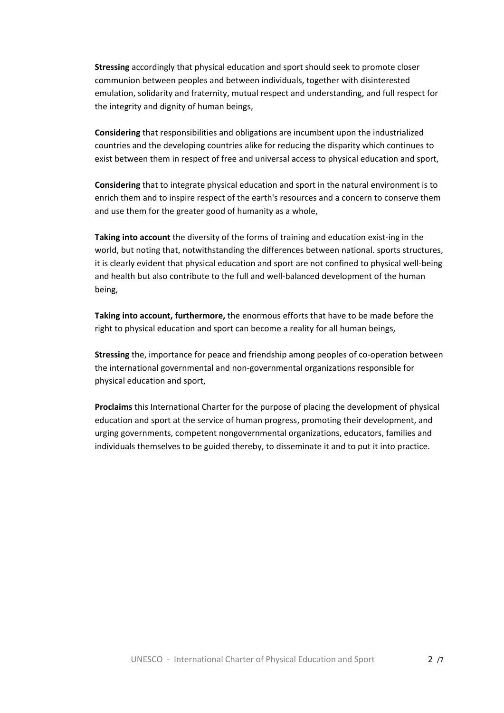**Stressing** accordingly that physical education and sport should seek to promote closer communion between peoples and between individuals, together with disinterested emulation, solidarity and fraternity, mutual respect and understanding, and full respect for the integrity and dignity of human beings,

**Considering** that responsibilities and obligations are incumbent upon the industrialized countries and the developing countries alike for reducing the disparity which continues to exist between them in respect of free and universal access to physical education and sport,

**Considering** that to integrate physical education and sport in the natural environment is to enrich them and to inspire respect of the earth's resources and a concern to conserve them and use them for the greater good of humanity as a whole,

**Taking into account** the diversity of the forms of training and education exist‐ing in the world, but noting that, notwithstanding the differences between national. sports structures, it is clearly evident that physical education and sport are not confined to physical well‐being and health but also contribute to the full and well‐balanced development of the human being,

**Taking into account, furthermore,** the enormous efforts that have to be made before the right to physical education and sport can become a reality for all human beings,

**Stressing** the, importance for peace and friendship among peoples of co-operation between the international governmental and non‐governmental organizations responsible for physical education and sport,

**Proclaims** this International Charter for the purpose of placing the development of physical education and sport at the service of human progress, promoting their development, and urging governments, competent nongovernmental organizations, educators, families and individuals themselves to be guided thereby, to disseminate it and to put it into practice.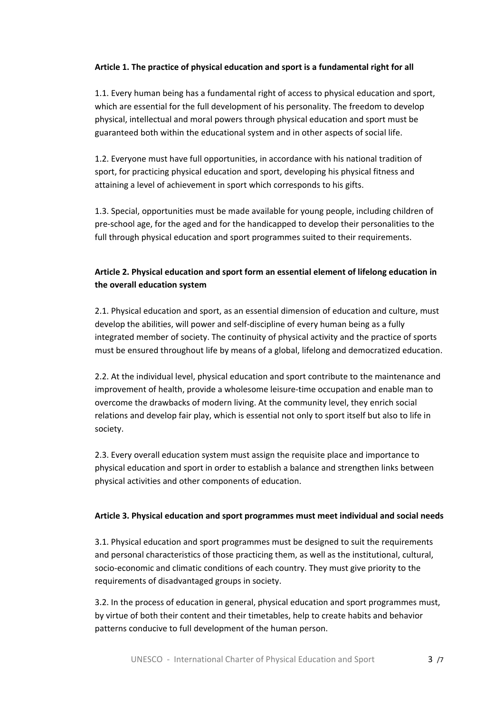## **Article 1. The practice of physical education and sport is a fundamental right for all**

1.1. Every human being has a fundamental right of access to physical education and sport, which are essential for the full development of his personality. The freedom to develop physical, intellectual and moral powers through physical education and sport must be guaranteed both within the educational system and in other aspects of social life.

1.2. Everyone must have full opportunities, in accordance with his national tradition of sport, for practicing physical education and sport, developing his physical fitness and attaining a level of achievement in sport which corresponds to his gifts.

1.3. Special, opportunities must be made available for young people, including children of pre‐school age, for the aged and for the handicapped to develop their personalities to the full through physical education and sport programmes suited to their requirements.

## **Article 2. Physical education and sport form an essential element of lifelong education in the overall education system**

2.1. Physical education and sport, as an essential dimension of education and culture, must develop the abilities, will power and self‐discipline of every human being as a fully integrated member of society. The continuity of physical activity and the practice of sports must be ensured throughout life by means of a global, lifelong and democratized education.

2.2. At the individual level, physical education and sport contribute to the maintenance and improvement of health, provide a wholesome leisure-time occupation and enable man to overcome the drawbacks of modern living. At the community level, they enrich social relations and develop fair play, which is essential not only to sport itself but also to life in society.

2.3. Every overall education system must assign the requisite place and importance to physical education and sport in order to establish a balance and strengthen links between physical activities and other components of education.

### **Article 3. Physical education and sport programmes must meet individual and social needs**

3.1. Physical education and sport programmes must be designed to suit the requirements and personal characteristics of those practicing them, as well as the institutional, cultural, socio‐economic and climatic conditions of each country. They must give priority to the requirements of disadvantaged groups in society.

3.2. In the process of education in general, physical education and sport programmes must, by virtue of both their content and their timetables, help to create habits and behavior patterns conducive to full development of the human person.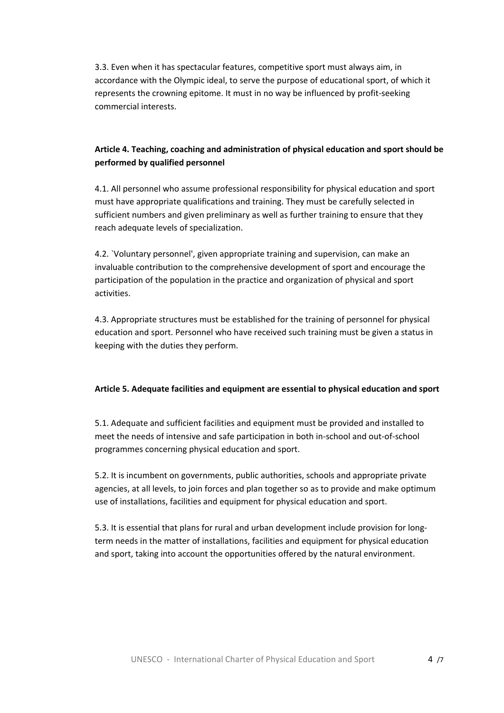3.3. Even when it has spectacular features, competitive sport must always aim, in accordance with the Olympic ideal, to serve the purpose of educational sport, of which it represents the crowning epitome. It must in no way be influenced by profit‐seeking commercial interests.

## **Article 4. Teaching, coaching and administration of physical education and sport should be performed by qualified personnel**

4.1. All personnel who assume professional responsibility for physical education and sport must have appropriate qualifications and training. They must be carefully selected in sufficient numbers and given preliminary as well as further training to ensure that they reach adequate levels of specialization.

4.2. `Voluntary personnel', given appropriate training and supervision, can make an invaluable contribution to the comprehensive development of sport and encourage the participation of the population in the practice and organization of physical and sport activities.

4.3. Appropriate structures must be established for the training of personnel for physical education and sport. Personnel who have received such training must be given a status in keeping with the duties they perform.

### **Article 5. Adequate facilities and equipment are essential to physical education and sport**

5.1. Adequate and sufficient facilities and equipment must be provided and installed to meet the needs of intensive and safe participation in both in‐school and out‐of‐school programmes concerning physical education and sport.

5.2. It is incumbent on governments, public authorities, schools and appropriate private agencies, at all levels, to join forces and plan together so as to provide and make optimum use of installations, facilities and equipment for physical education and sport.

5.3. It is essential that plans for rural and urban development include provision for longterm needs in the matter of installations, facilities and equipment for physical education and sport, taking into account the opportunities offered by the natural environment.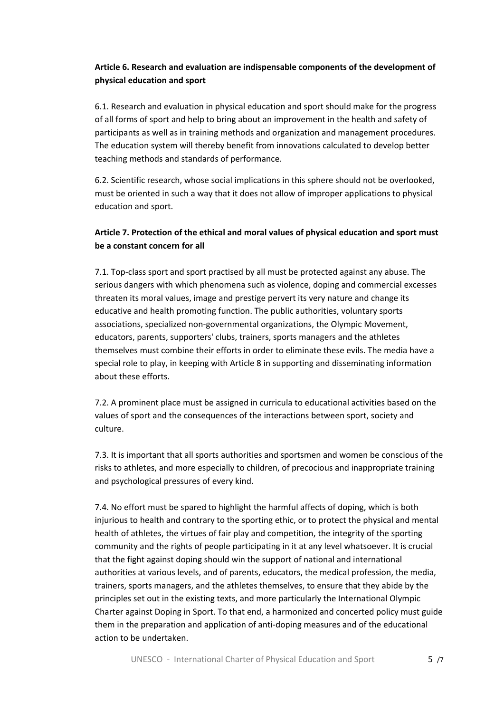## **Article 6. Research and evaluation are indispensable components of the development of physical education and sport**

6.1. Research and evaluation in physical education and sport should make for the progress of all forms of sport and help to bring about an improvement in the health and safety of participants as well as in training methods and organization and management procedures. The education system will thereby benefit from innovations calculated to develop better teaching methods and standards of performance.

6.2. Scientific research, whose social implications in this sphere should not be overlooked, must be oriented in such a way that it does not allow of improper applications to physical education and sport.

## **Article 7. Protection of the ethical and moral values of physical education and sport must be a constant concern for all**

7.1. Top‐class sport and sport practised by all must be protected against any abuse. The serious dangers with which phenomena such as violence, doping and commercial excesses threaten its moral values, image and prestige pervert its very nature and change its educative and health promoting function. The public authorities, voluntary sports associations, specialized non‐governmental organizations, the Olympic Movement, educators, parents, supporters' clubs, trainers, sports managers and the athletes themselves must combine their efforts in order to eliminate these evils. The media have a special role to play, in keeping with Article 8 in supporting and disseminating information about these efforts.

7.2. A prominent place must be assigned in curricula to educational activities based on the values of sport and the consequences of the interactions between sport, society and culture.

7.3. It is important that all sports authorities and sportsmen and women be conscious of the risks to athletes, and more especially to children, of precocious and inappropriate training and psychological pressures of every kind.

7.4. No effort must be spared to highlight the harmful affects of doping, which is both injurious to health and contrary to the sporting ethic, or to protect the physical and mental health of athletes, the virtues of fair play and competition, the integrity of the sporting community and the rights of people participating in it at any level whatsoever. It is crucial that the fight against doping should win the support of national and international authorities at various levels, and of parents, educators, the medical profession, the media, trainers, sports managers, and the athletes themselves, to ensure that they abide by the principles set out in the existing texts, and more particularly the International Olympic Charter against Doping in Sport. To that end, a harmonized and concerted policy must guide them in the preparation and application of anti‐doping measures and of the educational action to be undertaken.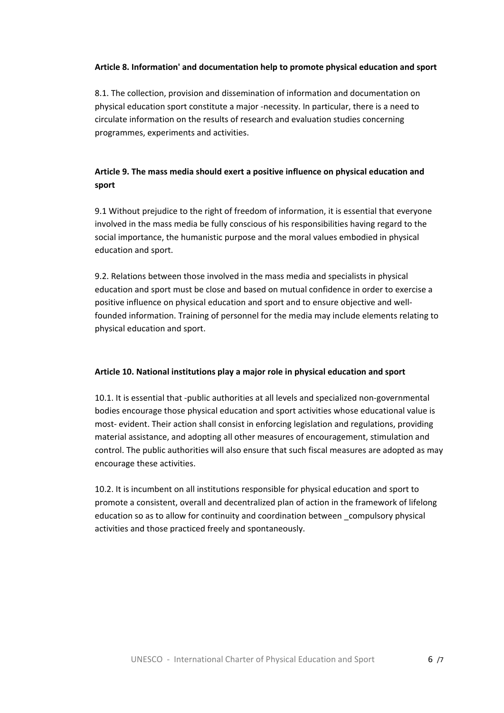### **Article 8. Information' and documentation help to promote physical education and sport**

8.1. The collection, provision and dissemination of information and documentation on physical education sport constitute a major ‐necessity. In particular, there is a need to circulate information on the results of research and evaluation studies concerning programmes, experiments and activities.

# **Article 9. The mass media should exert a positive influence on physical education and sport**

9.1 Without prejudice to the right of freedom of information, it is essential that everyone involved in the mass media be fully conscious of his responsibilities having regard to the social importance, the humanistic purpose and the moral values embodied in physical education and sport.

9.2. Relations between those involved in the mass media and specialists in physical education and sport must be close and based on mutual confidence in order to exercise a positive influence on physical education and sport and to ensure objective and well‐ founded information. Training of personnel for the media may include elements relating to physical education and sport.

### **Article 10. National institutions play a major role in physical education and sport**

10.1. It is essential that ‐public authorities at all levels and specialized non‐governmental bodies encourage those physical education and sport activities whose educational value is most-evident. Their action shall consist in enforcing legislation and regulations, providing material assistance, and adopting all other measures of encouragement, stimulation and control. The public authorities will also ensure that such fiscal measures are adopted as may encourage these activities.

10.2. It is incumbent on all institutions responsible for physical education and sport to promote a consistent, overall and decentralized plan of action in the framework of lifelong education so as to allow for continuity and coordination between \_compulsory physical activities and those practiced freely and spontaneously.